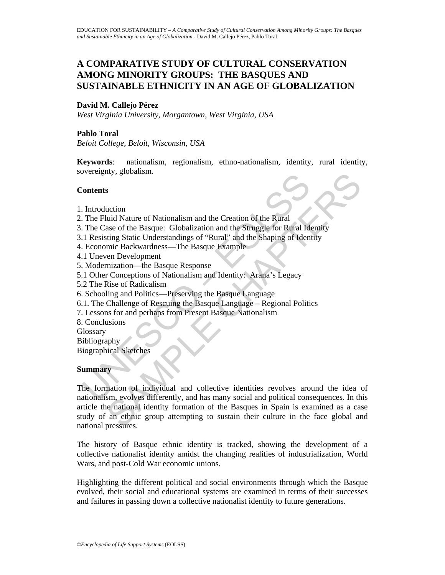# **A COMPARATIVE STUDY OF CULTURAL CONSERVATION AMONG MINORITY GROUPS: THE BASQUES AND SUSTAINABLE ETHNICITY IN AN AGE OF GLOBALIZATION**

# **David M. Callejo Pérez**

*West Virginia University, Morgantown, West Virginia, USA* 

# **Pablo Toral**

*Beloit College, Beloit, Wisconsin, USA* 

**Keywords**: nationalism, regionalism, ethno-nationalism, identity, rural identity, sovereignty, globalism.

### **Contents**

- 1. Introduction
- 2. The Fluid Nature of Nationalism and the Creation of the Rural
- 3. The Case of the Basque: Globalization and the Struggle for Rural Identity
- 3.1 Resisting Static Understandings of "Rural" and the Shaping of Identity
- 4. Economic Backwardness—The Basque Example
- 4.1 Uneven Development
- 5. Modernization—the Basque Response
- 5.1 Other Conceptions of Nationalism and Identity: Arana's Legacy
- 5.2 The Rise of Radicalism
- 6. Schooling and Politics—Preserving the Basque Language
- 6.1. The Challenge of Rescuing the Basque Language Regional Politics
- 7. Lessons for and perhaps from Present Basque Nationalism
- 8. Conclusions
- **Glossary**
- Bibliography
- Biographical Sketches

#### **Summary**

Voltagnity, globalism.<br>
2011 The Fluid Nature of Nationalism and the Creation of the Rural<br>
1 The Case of the Basque: Globalization and the Struggle for Rural<br>
1 Resisting Static Understandings of "Rural" and the Shaping o ny, giovanism.<br>
S<br>
S<br>
S<br>
Cuction<br>
Cucharante of Nationalism and the Creation of the Rural<br>
Maxae of the Basque: Globalization and the Struggle for Rural Identity<br>
mic Backwardness—The Basque Example<br>
mic Backwardness—The B The formation of individual and collective identities revolves around the idea of nationalism, evolves differently, and has many social and political consequences. In this article the national identity formation of the Basques in Spain is examined as a case study of an ethnic group attempting to sustain their culture in the face global and national pressures.

The history of Basque ethnic identity is tracked, showing the development of a collective nationalist identity amidst the changing realities of industrialization, World Wars, and post-Cold War economic unions.

Highlighting the different political and social environments through which the Basque evolved, their social and educational systems are examined in terms of their successes and failures in passing down a collective nationalist identity to future generations.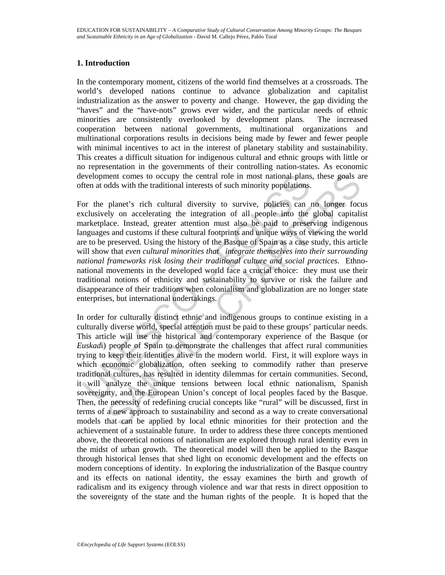### **1. Introduction**

In the contemporary moment, citizens of the world find themselves at a crossroads. The world's developed nations continue to advance globalization and capitalist industrialization as the answer to poverty and change. However, the gap dividing the "haves" and the "have-nots" grows ever wider, and the particular needs of ethnic minorities are consistently overlooked by development plans. The increased cooperation between national governments, multinational organizations and multinational corporations results in decisions being made by fewer and fewer people with minimal incentives to act in the interest of planetary stability and sustainability. This creates a difficult situation for indigenous cultural and ethnic groups with little or no representation in the governments of their controlling nation-states. As economic development comes to occupy the central role in most national plans, these goals are often at odds with the traditional interests of such minority populations.

evelopment comes to occupy the central role in most national plans<br>ften at odds with the traditional interests of such minority populations.<br>
or the planet's rich cultural diversity to survive, policies can<br>
cclusively on For the planet's rich cultural diversity to survive, policies can no longer focus exclusively on accelerating the integration of all people into the global capitalist marketplace. Instead, greater attention must also be paid to preserving indigenous languages and customs if these cultural footprints and unique ways of viewing the world are to be preserved. Using the history of the Basque of Spain as a case study, this article will show that *even cultural minorities that integrate themselves into their surrounding national frameworks risk losing their traditional culture and social practices*. Ethnonational movements in the developed world face a crucial choice: they must use their traditional notions of ethnicity and sustainability to survive or risk the failure and disappearance of their traditions when colonialism and globalization are no longer state enterprises, but international undertakings.

neut comes to occupy the central role in most national plans, these goals andds with the traditional interests of such minority populations.<br>
planet's rich cultural diversity to survive, policies can no longer foculy on ac In order for culturally distinct ethnic and indigenous groups to continue existing in a culturally diverse world, special attention must be paid to these groups' particular needs. This article will use the historical and contemporary experience of the Basque (or *Euskad*i) people of Spain to demonstrate the challenges that affect rural communities trying to keep their identities alive in the modern world. First, it will explore ways in which economic globalization, often seeking to commodify rather than preserve traditional cultures, has resulted in identity dilemmas for certain communities. Second, it will analyze the unique tensions between local ethnic nationalism, Spanish sovereignty, and the European Union's concept of local peoples faced by the Basque. Then, the necessity of redefining crucial concepts like "rural" will be discussed, first in terms of a new approach to sustainability and second as a way to create conversational models that can be applied by local ethnic minorities for their protection and the achievement of a sustainable future. In order to address these three concepts mentioned above, the theoretical notions of nationalism are explored through rural identity even in the midst of urban growth. The theoretical model will then be applied to the Basque through historical lenses that shed light on economic development and the effects on modern conceptions of identity. In exploring the industrialization of the Basque country and its effects on national identity, the essay examines the birth and growth of radicalism and its exigency through violence and war that rests in direct opposition to the sovereignty of the state and the human rights of the people. It is hoped that the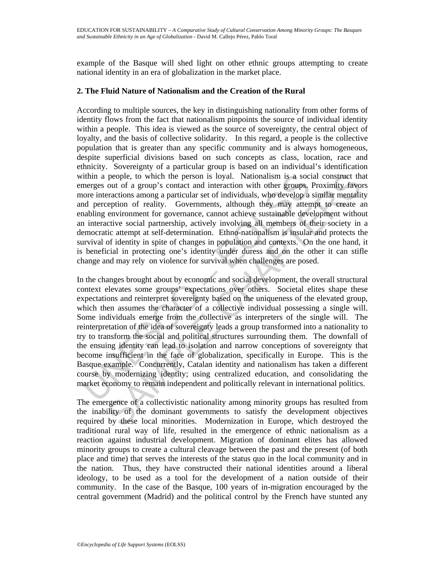example of the Basque will shed light on other ethnic groups attempting to create national identity in an era of globalization in the market place.

### **2. The Fluid Nature of Nationalism and the Creation of the Rural**

According to multiple sources, the key in distinguishing nationality from other forms of identity flows from the fact that nationalism pinpoints the source of individual identity within a people. This idea is viewed as the source of sovereignty, the central object of loyalty, and the basis of collective solidarity. In this regard, a people is the collective population that is greater than any specific community and is always homogeneous, despite superficial divisions based on such concepts as class, location, race and ethnicity. Sovereignty of a particular group is based on an individual's identification within a people, to which the person is loyal. Nationalism is a social construct that emerges out of a group's contact and interaction with other groups. Proximity favors more interactions among a particular set of individuals, who develop a similar mentality and perception of reality. Governments, although they may attempt to create an enabling environment for governance, cannot achieve sustainable development without an interactive social partnership, actively involving all members of their society in a democratic attempt at self-determination. Ethno-nationalism is insular and protects the survival of identity in spite of changes in population and contexts. On the one hand, it is beneficial in protecting one's identity under duress and on the other it can stifle change and may rely on violence for survival when challenges are posed.

ithin a people, to which the person is loyal. Nationalism is a socializer<br>energes out of a group's contact and interaction with other groups,<br>and perception smong a particular set of individuals, who develop a<br>onde interac people, to which the person is loyal. Nationalism is a social construct throut of a group's contact and interaction with other groups. Proximity favorent and interactions among a particular set of individuals, who develop In the changes brought about by economic and social development, the overall structural context elevates some groups' expectations over others. Societal elites shape these expectations and reinterpret sovereignty based on the uniqueness of the elevated group, which then assumes the character of a collective individual possessing a single will. Some individuals emerge from the collective as interpreters of the single will. The reinterpretation of the idea of sovereignty leads a group transformed into a nationality to try to transform the social and political structures surrounding them. The downfall of the ensuing identity can lead to isolation and narrow conceptions of sovereignty that become insufficient in the face of globalization, specifically in Europe. This is the Basque example. Concurrently, Catalan identity and nationalism has taken a different course by modernizing identity; using centralized education, and consolidating the market economy to remain independent and politically relevant in international politics.

The emergence of a collectivistic nationality among minority groups has resulted from the inability of the dominant governments to satisfy the development objectives required by these local minorities. Modernization in Europe, which destroyed the traditional rural way of life, resulted in the emergence of ethnic nationalism as a reaction against industrial development. Migration of dominant elites has allowed minority groups to create a cultural cleavage between the past and the present (of both place and time) that serves the interests of the status quo in the local community and in the nation. Thus, they have constructed their national identities around a liberal ideology, to be used as a tool for the development of a nation outside of their community. In the case of the Basque, 100 years of in-migration encouraged by the central government (Madrid) and the political control by the French have stunted any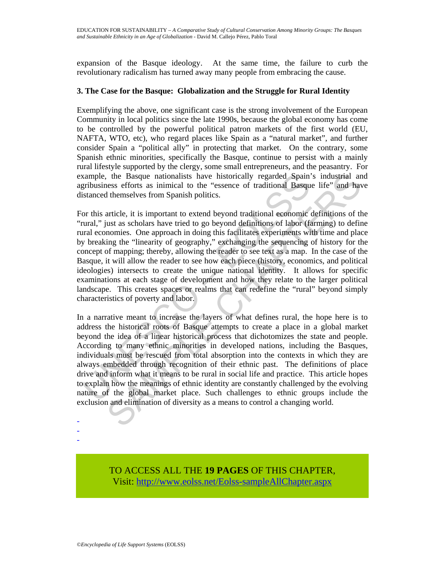expansion of the Basque ideology. At the same time, the failure to curb the revolutionary radicalism has turned away many people from embracing the cause.

### **3. The Case for the Basque: Globalization and the Struggle for Rural Identity**

Exemplifying the above, one significant case is the strong involvement of the European Community in local politics since the late 1990s, because the global economy has come to be controlled by the powerful political patron markets of the first world (EU, NAFTA, WTO, etc), who regard places like Spain as a "natural market", and further consider Spain a "political ally" in protecting that market. On the contrary, some Spanish ethnic minorities, specifically the Basque, continue to persist with a mainly rural lifestyle supported by the clergy, some small entrepreneurs, and the peasantry. For example, the Basque nationalists have historically regarded Spain's industrial and agribusiness efforts as inimical to the "essence of traditional Basque life" and have distanced themselves from Spanish politics.

xample, the Basque nationalists have historically regarded Spain'<br>gribusiness efforts as inimical to the "essence of traditional Basqu<br>istanced themselves from Spanish politics.<br>or this article, it is important to extend b To be Basque nationalists have historically regarded Spain's industrial ans the stead inimical to the "essence of traditional Basque life" and have the stead there is thim through the difference of traditional economic def For this article, it is important to extend beyond traditional economic definitions of the "rural," just as scholars have tried to go beyond definitions of labor (farming) to define rural economies. One approach in doing this facilitates experiments with time and place by breaking the "linearity of geography," exchanging the sequencing of history for the concept of mapping; thereby, allowing the reader to see text as a map. In the case of the Basque, it will allow the reader to see how each piece (history, economics, and political ideologies) intersects to create the unique national identity. It allows for specific examinations at each stage of development and how they relate to the larger political landscape. This creates spaces or realms that can redefine the "rural" beyond simply characteristics of poverty and labor.

In a narrative meant to increase the layers of what defines rural, the hope here is to address the historical roots of Basque attempts to create a place in a global market beyond the idea of a linear historical process that dichotomizes the state and people. According to many ethnic minorities in developed nations, including the Basques, individuals must be rescued from total absorption into the contexts in which they are always embedded through recognition of their ethnic past. The definitions of place drive and inform what it means to be rural in social life and practice. This article hopes to explain how the meanings of ethnic identity are constantly challenged by the evolving nature of the global market place. Such challenges to ethnic groups include the exclusion and elimination of diversity as a means to control a changing world.

- -
- -

TO ACCESS ALL THE **19 PAGES** OF THIS CHAPTER, Visit[: http://www.eolss.net/Eolss-sampleAllChapter.aspx](https://www.eolss.net/ebooklib/sc_cart.aspx?File=E6-61-05-04)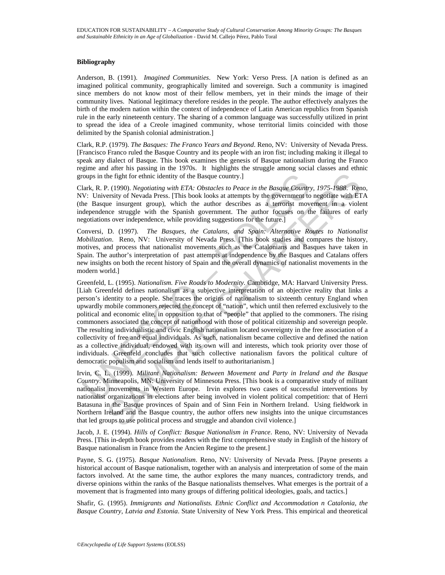#### **Bibliography**

Anderson, B. (1991). *Imagined Communities*. New York: Verso Press. [A nation is defined as an imagined political community, geographically limited and sovereign. Such a community is imagined since members do not know most of their fellow members, yet in their minds the image of their community lives. National legitimacy therefore resides in the people. The author effectively analyzes the birth of the modern nation within the context of independence of Latin American republics from Spanish rule in the early nineteenth century. The sharing of a common language was successfully utilized in print to spread the idea of a Creole imagined community, whose territorial limits coincided with those delimited by the Spanish colonial administration.]

Clark, R.P. (1979). *The Basques: The Franco Years and Beyond*. Reno, NV: University of Nevada Press. [Francisco Franco ruled the Basque Country and its people with an iron fist; including making it illegal to speak any dialect of Basque. This book examines the genesis of Basque nationalism during the Franco regime and after his passing in the 1970s. It highlights the struggle among social classes and ethnic groups in the fight for ethnic identity of the Basque country.]

Clark, R. P. (1990). *Negotiating with ETA: Obstacles to Peace in the Basque Country, 1975-1988*. Reno, NV: University of Nevada Press. [This book looks at attempts by the government to negotiate with ETA (the Basque insurgent group), which the author describes as a terrorist movement in a violent independence struggle with the Spanish government. The author focuses on the failures of early negotiations over independence, while providing suggestions for the future.]

Conversi, D. (1997). *The Basques, the Catalans, and Spain: Alternative Routes to Nationalist Mobilization*. Reno, NV: University of Nevada Press. [This book studies and compares the history, motives, and process that nationalist movements such as the Catalonians and Basques have taken in Spain. The author's interpretation of past attempts at independence by the Basques and Catalans offers new insights on both the recent history of Spain and the overall dynamics of nationalist movements in the modern world.]

oups in the fight for ethnic identity of the Basque country.]<br>lark, R. P. (1990). *Negotiating with ETA: Obstacles to Peace in the Basque Country*.<br>V: University of Nevada Press, [This book looks at attempts by the governm the fight for ethnic identity of the Basque country.]<br>  $\alpha$ , (1990). Negotiating with ETA: Obstacles to Peace in the Basque Country, 1975-1988. Renearing to Nevadiating with ETA: Obstacles to Peace in the Basque Country, Greenfeld, L. (1995). *Nationalism. Five Roads to Modernity*. Cambridge, MA: Harvard University Press. [Liah Greenfeld defines nationalism as a subjective interpretation of an objective reality that links a person's identity to a people. She traces the origins of nationalism to sixteenth century England when upwardly mobile commoners rejected the concept of "nation", which until then referred exclusively to the political and economic elite, in opposition to that of "people" that applied to the commoners. The rising commoners associated the concept of nationhood with those of political citizenship and sovereign people. The resulting individualistic and civic English nationalism located sovereignty in the free association of a collectivity of free and equal individuals. As such, nationalism became collective and defined the nation as a collective individual, endowed with its own will and interests, which took priority over those of individuals. Greenfeld concludes that such collective nationalism favors the political culture of democratic populism and socialism and lends itself to authoritarianism.]

Irvin, C. L. (1999). *Militant Nationalism: Between Movement and Party in Ireland and the Basque Country*. Minneapolis, MN: University of Minnesota Press. [This book is a comparative study of militant nationalist movements in Western Europe. Irvin explores two cases of successful interventions by nationalist organizations in elections after being involved in violent political competition: that of Herri Batasuna in the Basque provinces of Spain and of Sinn Fein in Northern Ireland. Using fieldwork in Northern Ireland and the Basque country, the author offers new insights into the unique circumstances that led groups to use political process and struggle and abandon civil violence.]

Jacob, J. E. (1994). *Hills of Conflict: Basque Nationalism in France*. Reno, NV: University of Nevada Press. [This in-depth book provides readers with the first comprehensive study in English of the history of Basque nationalism in France from the Ancien Regime to the present.]

Payne, S. G. (1975). *Basque Nationalism*. Reno, NV: University of Nevada Press. [Payne presents a historical account of Basque nationalism, together with an analysis and interpretation of some of the main factors involved. At the same time, the author explores the many nuances, contradictory trends, and diverse opinions within the ranks of the Basque nationalists themselves. What emerges is the portrait of a movement that is fragmented into many groups of differing political ideologies, goals, and tactics.]

Shafir, G. (1995). *Immigrants and Nationalists. Ethnic Conflict and Accommodation n Catalonia, the Basque Country, Latvia and Estonia*. State University of New York Press. This empirical and theoretical